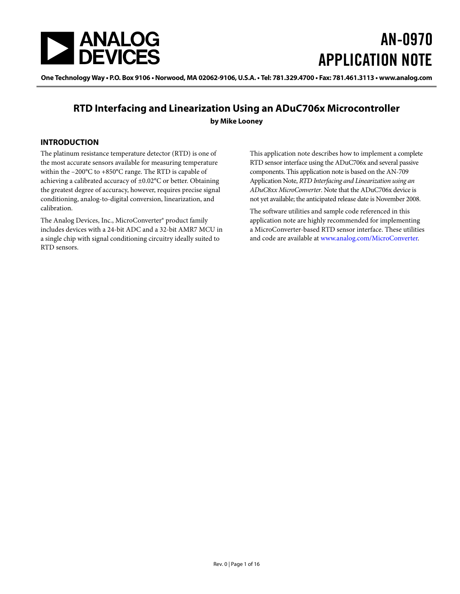<span id="page-0-0"></span>

# AN-0970 APPLICATION NOTE

One Technology Way • P.O. Box 9106 • Norwood, MA 02062-9106, U.S.A. • Tel: 781.329.4700 • Fax: 781.461.3113 • www.analog.com

## **RTD Interfacing and Linearization Using an ADuC706x Microcontroller by Mike Looney**

### **INTRODUCTION**

The platinum resistance temperature detector (RTD) is one of the most accurate sensors available for measuring temperature within the –200°C to +850°C range. The RTD is capable of achieving a calibrated accuracy of ±0.02°C or better. Obtaining the greatest degree of accuracy, however, requires precise signal conditioning, analog-to-digital conversion, linearization, and calibration.

The Analog Devices, Inc., MicroConverter® product family includes devices with a 24-bit ADC and a 32-bit AMR7 MCU in a single chip with signal conditioning circuitry ideally suited to RTD sensors.

This application note describes how to implement a complete RTD sensor interface using the ADuC706x and several passive components. This application note is based on the AN-709 Application Note, *RTD Interfacing and Linearization using an ADuC8xx MicroConverter*. Note that the ADuC706x device is not yet available; the anticipated release date is November 2008.

The software utilities and sample code referenced in this application note are highly recommended for implementing a MicroConverter-based RTD sensor interface. These utilities and code are available at www[.analog](http://www.analog.com/microconverter)[.com/](http://www.analog.com/en/analog-microcontrollers/products/index.html)MicroConverter.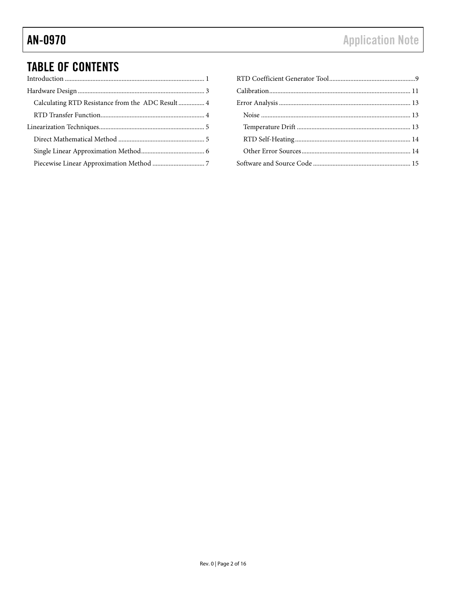# **TABLE OF CONTENTS**

| Calculating RTD Resistance from the ADC Result  4 |
|---------------------------------------------------|
|                                                   |
|                                                   |
|                                                   |
|                                                   |
|                                                   |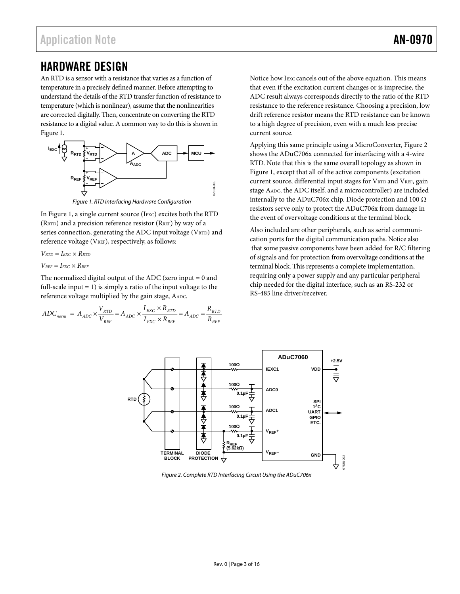# <span id="page-2-3"></span><span id="page-2-0"></span>HARDWARE DESIGN

An RTD is a sensor with a resistance that varies as a function of temperature in a precisely defined manner. Before attempting to understand the details of the RTD transfer function of resistance to temperature (which is nonlinear), assume that the nonlinearities are corrected digitally. Then, concentrate on converting the RTD resistance to a digital value. A common way to do this is shown in Figure 1.



Figure 1. RTD Interfacing Hardware Configuration

<span id="page-2-1"></span>In [Figure 1](#page-2-1), a single current source (IEXC) excites both the RTD (RRTD) and a precision reference resistor (RREF) by way of a series connection, generating the ADC input voltage (VRTD) and reference voltage (V<sub>REF</sub>), respectively, as follows:

$$
V_{\text{RTD}}=I_{\text{EXC}}\times R_{\text{RTD}}
$$

$$
V_{\text{REF}}=I_{\text{EXC}}\times R_{\text{REF}}
$$

The normalized digital output of the ADC (zero input  $= 0$  and full-scale input  $= 1$ ) is simply a ratio of the input voltage to the reference voltage multiplied by the gain stage, AADC.

$$
ADC_{norm} = A_{ADC} \times \frac{V_{RTD}}{V_{REF}} = A_{ADC} \times \frac{I_{EXC} \times R_{RTD}}{I_{EXC} \times R_{REF}} = A_{ADC} = \frac{R_{RTD}}{R_{REF}}
$$

Notice how IEXC cancels out of the above equation. This means that even if the excitation current changes or is imprecise, the ADC result always corresponds directly to the ratio of the RTD resistance to the reference resistance. Choosing a precision, low drift reference resistor means the RTD resistance can be known to a high degree of precision, even with a much less precise current source.

Applying this same principle using a MicroConverter, [Figure 2](#page-2-2) shows the ADuC706x connected for interfacing with a 4-wire RTD. Note that this is the same overall topology as shown in [Figure 1,](#page-2-1) except that all of the active components (excitation current source, differential input stages for VRTD and VREF, gain stage AADC, the ADC itself, and a microcontroller) are included internally to the ADuC706x chip. Diode protection and 100  $\Omega$ resistors serve only to protect the ADuC706x from damage in the event of overvoltage conditions at the terminal block.

Also included are other peripherals, such as serial communication ports for the digital communication paths. Notice also that some passive components have been added for R/C filtering of signals and for protection from overvoltage conditions at the terminal block. This represents a complete implementation, requiring only a power supply and any particular peripheral chip needed for the digital interface, such as an RS-232 or RS-485 line driver/receiver.



<span id="page-2-2"></span>Figure 2. Complete RTD Interfacing Circuit Using the ADuC706x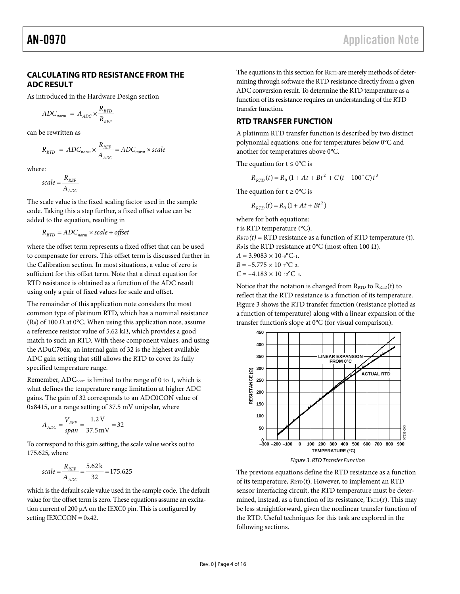### <span id="page-3-0"></span>**CALCULATING RTD RESISTANCE FROM THE ADC RESULT**

As introduced in the [Hardware Design](#page-2-3) section

$$
ADC_{norm} = A_{ADC} \times \frac{R_{RTD}}{R_{REF}}
$$

<span id="page-3-2"></span>can be rewritten as

$$
R_{RTD} = ADC_{norm} \times \frac{R_{REF}}{A_{ADC}} = ADC_{norm} \times scale
$$

where:

$$
scale = \frac{R_{REF}}{A_{ADC}}
$$

The scale value is the fixed scaling factor used in the sample code. Taking this a step further, a fixed offset value can be added to the equation, resulting in

 $R_{RTD} = ADC_{norm} \times scale + offset$ 

where the offset term represents a fixed offset that can be used to compensate for errors. This offset term is discussed further in the Calibration section. In most situations, a value of zero is sufficient for this offset term. Note that a direct equation for RTD resistance is obtained as a function of the ADC result using only a pair of fixed values for scale and offset.

The remainder of this application note considers the most common type of platinum RTD, which has a nominal resistance (R<sub>0</sub>) of 100  $\Omega$  at 0°C. When using this application note, assume a reference resistor value of 5.62 kΩ, which provides a good match to such an RTD. With these component values, and using the ADuC706x, an internal gain of 32 is the highest available ADC gain setting that still allows the RTD to cover its fully specified temperature range.

Remember, ADC<sub>norm</sub> is limited to the range of 0 to 1, which is what defines the temperature range limitation at higher ADC gains. The gain of 32 corresponds to an ADC0CON value of 0x8415, or a range setting of 37.5 mV unipolar, where

$$
A_{ADC} = \frac{V_{REF}}{span} = \frac{1.2 \text{ V}}{37.5 \text{ mV}} = 32
$$

<span id="page-3-1"></span>To correspond to this gain setting, the scale value works out to 175.625, where

scale = 
$$
\frac{R_{REF}}{A_{ADC}}
$$
 =  $\frac{5.62 \text{ k}}{32}$  = 175.625

which is the default scale value used in the sample code. The default value for the offset term is zero. These equations assume an excitation current of 200 μA on the IEXC0 pin. This is configured by setting  $IEXCCON = 0x42$ .

The equations in this section for RRTD are merely methods of determining through software the RTD resistance directly from a given ADC conversion result. To determine the RTD temperature as a function of its resistance requires an understanding of the RTD transfer function.

## **RTD TRANSFER FUNCTION**

A platinum RTD transfer function is described by two distinct polynomial equations: one for temperatures below 0°C and another for temperatures above 0°C.

The equation for  $t \leq 0$ °C is

$$
R_{RTD}(t) = R_0 (1 + At + Bt^2 + C(t - 100^{\circ} C)t^3
$$

The equation for  $t \geq 0^{\circ}C$  is

$$
R_{\text{RTD}}(t) = R_0 \left( 1 + At + Bt^2 \right)
$$

where for both equations:

*t* is RTD temperature (°C).

 $R_{\text{RTD}}(t) = \text{RTD}$  resistance as a function of RTD temperature (t). *R<sub>0</sub>* is the RTD resistance at 0°C (most often 100  $\Omega$ ).

 $A = 3.9083 \times 10^{-3}$ <sup>o</sup>C<sub>-1</sub>.  $B = -5.775 \times 10^{-6}$ C-2.  $C = -4.183 \times 10^{-12}$ °C<sub>-4</sub>.

Notice that the notation is changed from  $R_{\text{RTD}}$  to  $R_{\text{RTD}}(t)$  to reflect that the RTD resistance is a function of its temperature. [Figure 3](#page-3-1) shows the RTD transfer function (resistance plotted as a function of temperature) along with a linear expansion of the transfer function's slope at 0°C (for visual comparison).



The previous equations define the RTD resistance as a function of its temperature, RRTD(t). However, to implement an RTD sensor interfacing circuit, the RTD temperature must be determined, instead, as a function of its resistance,  $T_{\text{RTD}}(r)$ . This may be less straightforward, given the nonlinear transfer function of the RTD. Useful techniques for this task are explored in the following sections.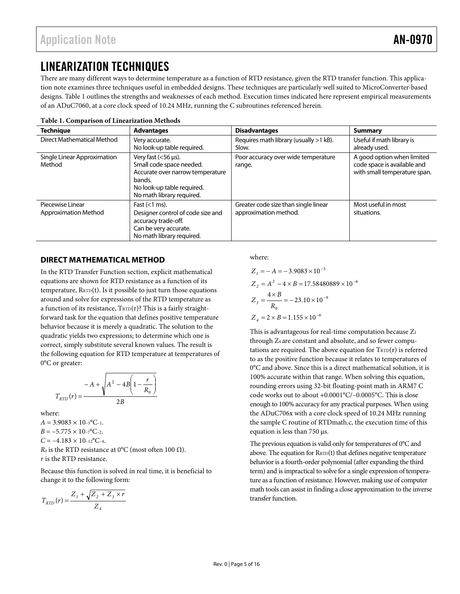# <span id="page-4-0"></span>LINEARIZATION TECHNIQUES

There are many different ways to determine temperature as a function of RTD resistance, given the RTD transfer function. This application note examines three techniques useful in embedded designs. These techniques are particularly well suited to MicroConverter-based designs. [Table 1](#page-4-1) outlines the strengths and weaknesses of each method. Execution times indicated here represent empirical measurements of an ADuC7060, at a core clock speed of 10.24 MHz, running the C subroutines referenced herein.

<span id="page-4-1"></span>

| <b>Technique</b>                                | <b>Advantages</b>                                                                                                                                                | <b>Disadvantages</b>                                          | <b>Summary</b>                                                                            |
|-------------------------------------------------|------------------------------------------------------------------------------------------------------------------------------------------------------------------|---------------------------------------------------------------|-------------------------------------------------------------------------------------------|
| Direct Mathematical Method                      | Very accurate.<br>No look-up table required.                                                                                                                     | Requires math library (usually >1 kB).<br>Slow.               | Useful if math library is<br>already used.                                                |
| Single Linear Approximation<br>Method           | Very fast $(<56 \,\mu s$ ).<br>Small code space needed.<br>Accurate over narrow temperature<br>bands.<br>No look-up table required.<br>No math library required. | Poor accuracy over wide temperature<br>range.                 | A good option when limited<br>code space is available and<br>with small temperature span. |
| Piecewise Linear<br><b>Approximation Method</b> | Fast $(<1$ ms).<br>Designer control of code size and<br>accuracy trade-off.<br>Can be very accurate.<br>No math library required.                                | Greater code size than single linear<br>approximation method. | Most useful in most<br>situations.                                                        |

**Table 1. Comparison of Linearization Methods** 

## **DIRECT MATHEMATICAL METHOD**

In the [RTD Transfer Function](#page-3-2) section, explicit mathematical equations are shown for RTD resistance as a function of its temperature,  $R_{\text{RTD}}(t)$ . Is it possible to just turn those equations around and solve for expressions of the RTD temperature as a function of its resistance,  $T_{\text{RTD}}(r)$ ? This is a fairly straightforward task for the equation that defines positive temperature behavior because it is merely a quadratic. The solution to the quadratic yields two expressions; to determine which one is correct, simply substitute several known values. The result is the following equation for RTD temperature at temperatures of 0°C or greater:

$$
T_{RTD}(r) = \frac{-A + \sqrt{A^2 - 4B\left(1 - \frac{r}{R_0}\right)}}{2B}
$$

where:

 $A = 3.9083 \times 10^{-3}$ °C-1.  $B = -5.775 \times 10^{-6}$  C-2.  $C = -4.183 \times 10^{-12}$ °C-4.

*R<sub>0</sub>* is the RTD resistance at 0°C (most often 100  $\Omega$ ). *r* is the RTD resistance.

Because this function is solved in real time, it is beneficial to change it to the following form:

$$
T_{RTD}(r) = \frac{Z_1 + \sqrt{Z_2 + Z_3 \times r}}{Z_4}
$$

where:

$$
Z_1 = -A = -3.9083 \times 10^{-3}
$$
  
\n
$$
Z_2 = A^2 - 4 \times B = 17.58480889 \times 10^{-6}
$$
  
\n
$$
Z_3 = \frac{4 \times B}{R_0} = -23.10 \times 10^{-9}
$$
  
\n
$$
Z_4 = 2 \times B = 1.155 \times 10^{-6}
$$

This is advantageous for real-time computation because Z1 through Z4 are constant and absolute, and so fewer computations are required. The above equation for  $T_{\text{RTD}}(r)$  is referred to as the positive function because it relates to temperatures of 0°C and above. Since this is a direct mathematical solution, it is 100% accurate within that range. When solving this equation, rounding errors using 32-bit floating-point math in ARM7 C code works out to about +0.0001°C/–0.0005°C. This is close enough to 100% accuracy for any practical purposes. When using the ADuC706x with a core clock speed of 10.24 MHz running the sample C routine of RTDmath.c, the execution time of this equation is less than 750 μs.

The previous equation is valid only for temperatures of 0°C and above. The equation for  $R_{\text{RTD}}(t)$  that defines negative temperature behavior is a fourth-order polynomial (after expanding the third term) and is impractical to solve for a single expression of temperature as a function of resistance. However, making use of computer math tools can assist in finding a close approximation to the inverse transfer function.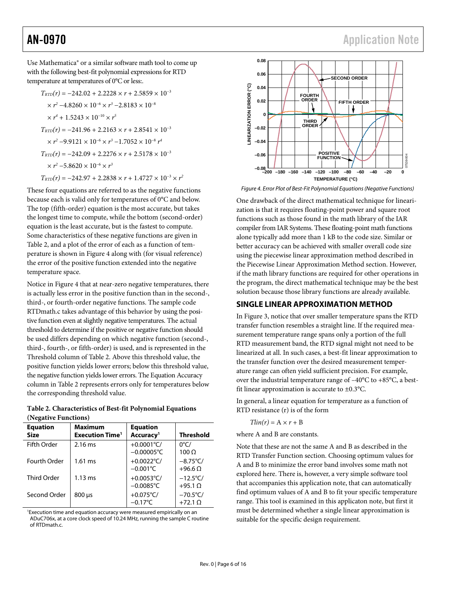<span id="page-5-0"></span>Use Mathematica® or a similar software math tool to come up with the following best-fit polynomial expressions for RTD temperature at temperatures of 0°C or less:.

$$
T_{\text{RTD}}(r) = -242.02 + 2.2228 \times r + 2.5859 \times 10^{-3}
$$
  
\n
$$
\times r^2 - 4.8260 \times 10^{-6} \times r^3 - 2.8183 \times 10^{-8}
$$
  
\n
$$
\times r^4 + 1.5243 \times 10^{-10} \times r^5
$$
  
\n
$$
T_{\text{RTD}}(r) = -241.96 + 2.2163 \times r + 2.8541 \times 10^{-3}
$$
  
\n
$$
\times r^2 - 9.9121 \times 10^{-6} \times r^3 - 1.7052 \times 10^{-8} r^4
$$
  
\n
$$
T_{\text{RTD}}(r) = -242.09 + 2.2276 \times r + 2.5178 \times 10^{-3}
$$
  
\n
$$
\times r^2 - 5.8620 \times 10^{-6} \times r^3
$$
  
\n
$$
T_{\text{RTD}}(r) = -242.97 + 2.2838 \times r + 1.4727 \times 10^{-3} \times r^2
$$

<span id="page-5-2"></span>These four equations are referred to as the negative functions because each is valid only for temperatures of 0°C and below. The top (fifth-order) equation is the most accurate, but takes the longest time to compute, while the bottom (second-order) equation is the least accurate, but is the fastest to compute. Some characteristics of these negative functions are given in [Table 2](#page-5-1), and a plot of the error of each as a function of temperature is shown in [Figure 4](#page-5-2) along with (for visual reference) the error of the positive function extended into the negative temperature space.

Notice in [Figure 4](#page-5-2) that at near-zero negative temperatures, there is actually less error in the positive function than in the second-, third-, or fourth-order negative functions. The sample code RTDmath.c takes advantage of this behavior by using the positive function even at slightly negative temperatures. The actual threshold to determine if the positive or negative function should be used differs depending on which negative function (second-, third-, fourth-, or fifth-order) is used, and is represented in the Threshold column of Table 2. Above this threshold value, the positive function yields lower errors; below this threshold value, the negative function yields lower errors. The Equation Accuracy column in [Table 2](#page-5-1) represents errors only for temperatures below the corresponding threshold value.

<span id="page-5-1"></span>**Table 2. Characteristics of Best-fit Polynomial Equations (Negative Functions)** 

| <b>Equation</b><br><b>Size</b> | <b>Maximum</b><br><b>Execution Time<sup>1</sup></b> | <b>Equation</b><br>Accuracy <sup>1</sup> | <b>Threshold</b>                       |
|--------------------------------|-----------------------------------------------------|------------------------------------------|----------------------------------------|
| <b>Fifth Order</b>             | $2.16$ ms                                           | +0.0001°C/<br>$-0.00005$ °C              | $0^{\circ}$ C/<br>$100 \Omega$         |
| Fourth Order                   | $1.61$ ms                                           | +0.0022 $^{\circ}$ C/<br>$-0.001$ °C     | $-8.75^{\circ}$ C/<br>$+96.6 \Omega$   |
| <b>Third Order</b>             | $1.13 \text{ ms}$                                   | +0.0053°C/<br>$-0.0085^{\circ}$ C        | $-12.5^{\circ}$ C/<br>$+95.1$ $\Omega$ |
| Second Order                   | $800 \,\mu s$                                       | +0.075 $°C/$<br>$-0.17^{\circ}$ C        | $-70.5^{\circ}$ C/<br>$+72.1$ $\Omega$ |

1 Execution time and equation accuracy were measured empirically on an ADuC706x, at a core clock speed of 10.24 MHz, running the sample C routine of RTDmath.c.



Figure 4. Error Plot of Best-Fit Polynomial Equations (Negative Functions)

One drawback of the direct mathematical technique for linearization is that it requires floating-point power and square root functions such as those found in the math library of the IAR compiler from IAR Systems. These floating-point math functions alone typically add more than 1 kB to the code size. Similar or better accuracy can be achieved with smaller overall code size using the piecewise linear approximation method described in the [Piecewise Linear Approximation Method](#page-6-1) section. However, if the math library functions are required for other operations in the program, the direct mathematical technique may be the best solution because those library functions are already available.

## **SINGLE LINEAR APPROXIMATION METHOD**

In [Figure 3](#page-3-1), notice that over smaller temperature spans the RTD transfer function resembles a straight line. If the required measurement temperature range spans only a portion of the full RTD measurement band, the RTD signal might not need to be linearized at all. In such cases, a best-fit linear approximation to the transfer function over the desired measurement temperature range can often yield sufficient precision. For example, over the industrial temperature range of –40°C to +85°C, a bestfit linear approximation is accurate to  $\pm 0.3$ °C.

In general, a linear equation for temperature as a function of RTD resistance (r) is of the form

$$
Tlin(r) = A \times r + B
$$

where A and B are constants.

Note that these are not the same A and B as described in the [RTD Transfer Function](#page-3-2) section. Choosing optimum values for A and B to minimize the error band involves some math not explored here. There is, however, a very simple software tool that accompanies this application note, that can automatically find optimum values of A and B to fit your specific temperature range. This tool is examined in this applicaton note, but first it must be determined whether a single linear approximation is suitable for the specific design requirement.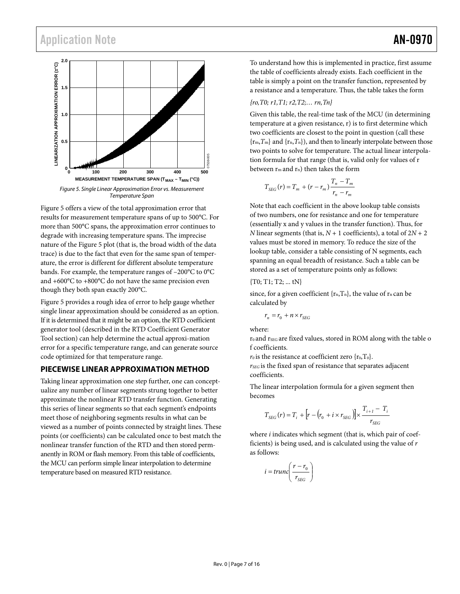<span id="page-6-0"></span>

<span id="page-6-2"></span>[Figure 5](#page-6-2) offers a view of the total approximation error that results for measurement temperature spans of up to 500°C. For more than 500°C spans, the approximation error continues to degrade with increasing temperature spans. The imprecise nature of the [Figure 5](#page-6-2) plot (that is, the broad width of the data trace) is due to the fact that even for the same span of temperature, the error is different for different absolute temperature bands. For example, the temperature ranges of –200°C to 0°C and +600°C to +800°C do not have the same precision even though they both span exactly 200°C.

[Figure 5](#page-6-2) provides a rough idea of error to help gauge whether single linear approximation should be considered as an option. If it is determined that it might be an option, the RTD coefficient generator tool (described in the [RTD Coefficient Generator](#page-8-1)  [Tool](#page-8-1) section) can help determine the actual approxi-mation error for a specific temperature range, and can generate source code optimized for that temperature range.

### <span id="page-6-1"></span>**PIECEWISE LINEAR APPROXIMATION METHOD**

Taking linear approximation one step further, one can conceptualize any number of linear segments strung together to better approximate the nonlinear RTD transfer function. Generating this series of linear segments so that each segment's endpoints meet those of neighboring segments results in what can be viewed as a number of points connected by straight lines. These points (or coefficients) can be calculated once to best match the nonlinear transfer function of the RTD and then stored permanently in ROM or flash memory. From this table of coefficients, the MCU can perform simple linear interpolation to determine temperature based on measured RTD resistance.

To understand how this is implemented in practice, first assume the table of coefficients already exists. Each coefficient in the table is simply a point on the transfer function, represented by a resistance and a temperature. Thus, the table takes the form

### *{ro,T0; r1,T1; r2,T2;… rn,Tn}*

Given this table, the real-time task of the MCU (in determining temperature at a given resistance, r) is to first determine which two coefficients are closest to the point in question (call these  ${r_m, T_m}$  and  ${r_n, T_n}$ , and then to linearly interpolate between those two points to solve for temperature. The actual linear interpolation formula for that range (that is, valid only for values of r between rm and rn) then takes the form

$$
T_{SEG}(r) = T_m + (r - r_m) \frac{T_n - T_m}{r_n - r_m}
$$

Note that each coefficient in the above lookup table consists of two numbers, one for resistance and one for temperature (essentially x and y values in the transfer function). Thus, for *N* linear segments (that is,  $N + 1$  coefficients), a total of  $2N + 2$ values must be stored in memory. To reduce the size of the lookup table, consider a table consisting of N segments, each spanning an equal breadth of resistance. Such a table can be stored as a set of temperature points only as follows:

### {T0; T1; T2; ... tN}

since, for a given coefficient  $\{r_n, T_n\}$ , the value of  $r_n$  can be calculated by

$$
r_n = r_0 + n \times r_{SEG}
$$

where:

 $r_0$  and  $r_{SEG}$  are fixed values, stored in ROM along with the table o f coefficients.

 $r_0$  is the resistance at coefficient zero  $\{r_0, T_0\}$ .

*rSEG* is the fixed span of resistance that separates adjacent coefficients.

The linear interpolation formula for a given segment then becomes

$$
T_{SEG}(r) = T_i + [r - (r_0 + i \times r_{SEG})] \times \frac{T_{i+1} - T_i}{r_{SEG}}
$$

where *i* indicates which segment (that is, which pair of coefficients) is being used, and is calculated using the value of *r* as follows:

$$
i = trunc \left( \frac{r - r_0}{r_{SEG}} \right)
$$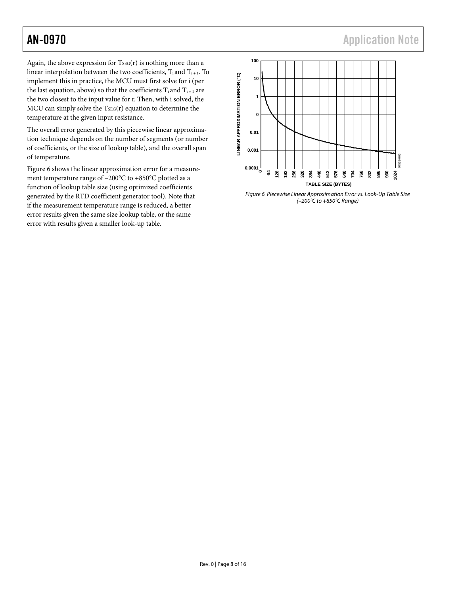AN-0970 **AN-0970 AN-0970 Application Note** 

Again, the above expression for  $T<sub>SEG</sub>(r)$  is nothing more than a linear interpolation between the two coefficients,  $T_i$  and  $T_{i+1}$ . To implement this in practice, the MCU must first solve for i (per the last equation, above) so that the coefficients  $T_i$  and  $T_{i+1}$  are the two closest to the input value for r. Then, with i solved, the MCU can simply solve the  $T<sub>SEG</sub>(r)$  equation to determine the temperature at the given input resistance.

The overall error generated by this piecewise linear approximation technique depends on the number of segments (or number of coefficients, or the size of lookup table), and the overall span of temperature.

<span id="page-7-0"></span>[Figure 6](#page-7-0) shows the linear approximation error for a measurement temperature range of –200°C to +850°C plotted as a function of lookup table size (using optimized coefficients generated by the RTD coefficient generator tool). Note that if the measurement temperature range is reduced, a better error results given the same size lookup table, or the same error with results given a smaller look-up table.



Figure 6. Piecewise Linear Approximation Error vs. Look-Up Table Size (–200°C to +850°C Range)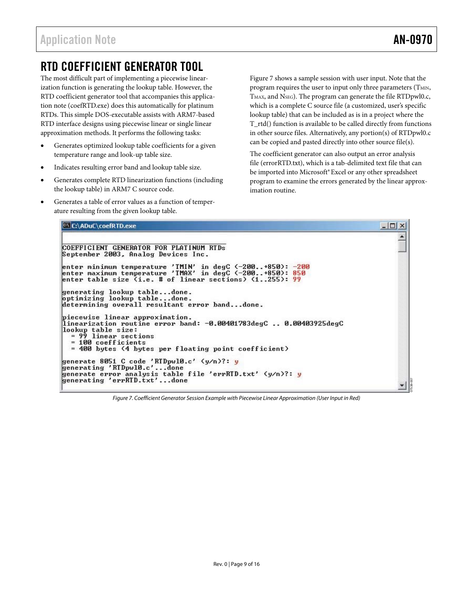07538-007

# <span id="page-8-1"></span><span id="page-8-0"></span>RTD COEFFICIENT GENERATOR TOOL

The most difficult part of implementing a piecewise linearization function is generating the lookup table. However, the RTD coefficient generator tool that accompanies this application note (coefRTD.exe) does this automatically for platinum RTDs. This simple DOS-executable assists with ARM7-based RTD interface designs using piecewise linear or single linear approximation methods. It performs the following tasks:

- Generates optimized lookup table coefficients for a given temperature range and look-up table size.
- Indicates resulting error band and lookup table size.
- Generates complete RTD linearization functions (including the lookup table) in ARM7 C source code.
- Generates a table of error values as a function of temperature resulting from the given lookup table.

[Figure 7](#page-8-2) shows a sample session with user input. Note that the program requires the user to input only three parameters (TMIN, TMAX, and NSEG). The program can generate the file RTDpwl0.c, which is a complete C source file (a customized, user's specific lookup table) that can be included as is in a project where the T\_rtd() function is available to be called directly from functions in other source files. Alternatively, any portion(s) of RTDpwl0.c can be copied and pasted directly into other source file(s).

The coefficient generator can also output an error analysis file (errorRTD.txt), which is a tab-delimited text file that can be imported into Microsoft® Excel or any other spreadsheet program to examine the errors generated by the linear approximation routine.

| $ \Box$ $\times$ |
|------------------|
|                  |
|                  |
|                  |
|                  |
|                  |
|                  |
|                  |
|                  |
|                  |
|                  |

<span id="page-8-2"></span>Figure 7. Coefficient Generator Session Example with Piecewise Linear Approximation (User Input in Red)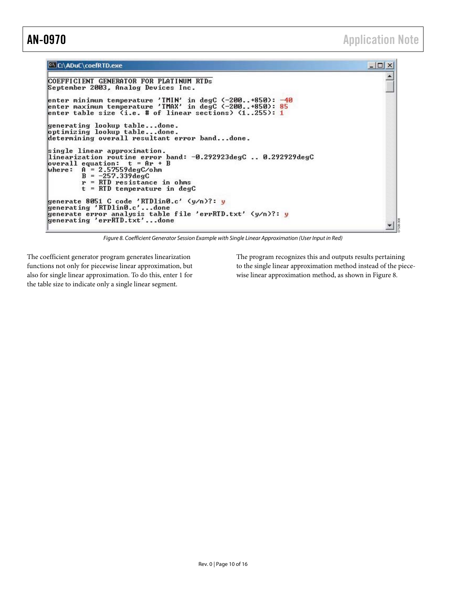$\Box$   $\times$  $\blacktriangle$ 

07538-008

▼

### C:\ADuC\coefRTD.exe

```
COEFFICIENT GENERATOR FOR PLATINUM RTDs
September 2003, Analog Devices Inc.
enter minimum temperature 'TMIN' in degC <-200..+850>: -40<br>enter maximum temperature 'TMAX' in degC <-200..+850>: 85<br>enter table size <i.e. # of linear sections> <1..255>: 1
generating lookup table...done.
optimizing lookup table...done.<br>determining overall resultant error band...done.
single linear approximation.<br>linearization routine error band: -0.292923degC .. 0.292929degC<br>overall equation: t = Ar + B<br>where: A = 2.57559degC/bm<br>B = -2.57.339degCP = \begin{bmatrix} 1 & 0 & 0 \\ 0 & 1 & 0 \\ 0 & 0 & 0 \end{bmatrix} resistance in ohms<br>t = RTD temperature in degC
generate 8051 C code 'RIDlinO.c' (y/n)?: y<br>generating 'RIDlinO.c'...done<br>cilc is in the cilc is the TID
generate error analysis table file 'errRTD.txt' (y/n)?: y<br>generating 'errRTD.txt'...done
```
Figure 8. Coefficient Generator Session Example with Single Linear Approximation (User Input in Red)

<span id="page-9-0"></span>The coefficient generator program generates linearization functions not only for piecewise linear approximation, but also for single linear approximation. To do this, enter 1 for the table size to indicate only a single linear segment.

The program recognizes this and outputs results pertaining to the single linear approximation method instead of the piecewise linear approximation method, as shown in [Figure 8](#page-9-0).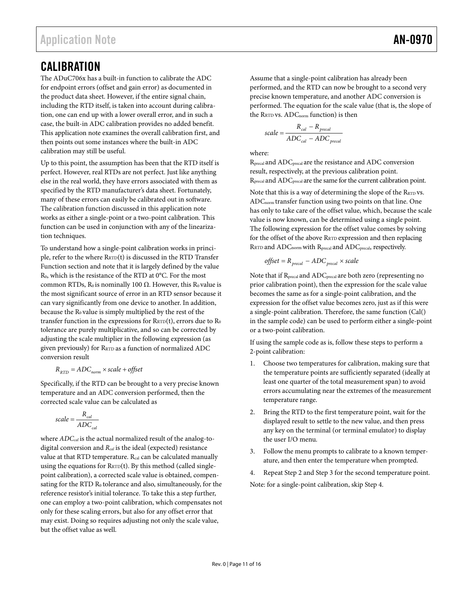# <span id="page-10-1"></span><span id="page-10-0"></span>**CALIBRATION**

The ADuC706x has a built-in function to calibrate the ADC for endpoint errors (offset and gain error) as documented in the product data sheet. However, if the entire signal chain, including the RTD itself, is taken into account during calibration, one can end up with a lower overall error, and in such a case, the built-in ADC calibration provides no added benefit. This application note examines the overall calibration first, and then points out some instances where the built-in ADC calibration may still be useful.

Up to this point, the assumption has been that the RTD itself is perfect. However, real RTDs are not perfect. Just like anything else in the real world, they have errors associated with them as specified by the RTD manufacturer's data sheet. Fortunately, many of these errors can easily be calibrated out in software. The calibration function discussed in this application note works as either a single-point or a two-point calibration. This function can be used in conjunction with any of the linearization techniques.

To understand how a single-point calibration works in principle, refer to the where  $\text{RRTD}(t)$  is discussed in the RTD Transfer [Function](#page-3-2) section and note that it is largely defined by the value R0, which is the resistance of the RTD at 0°C. For the most common RTDs,  $R_0$  is nominally 100 Ω. However, this  $R_0$  value is the most significant source of error in an RTD sensor because it can vary significantly from one device to another. In addition, because the R<sub>0</sub> value is simply multiplied by the rest of the transfer function in the expressions for  $R_{\text{RTD}}(t)$ , errors due to  $R_0$ tolerance are purely multiplicative, and so can be corrected by adjusting the scale multiplier in the following expression (as given previously) for RRTD as a function of normalized ADC conversion result

$$
R_{\text{RTD}} = ADC_{\text{norm}} \times scale + offset
$$

Specifically, if the RTD can be brought to a very precise known temperature and an ADC conversion performed, then the corrected scale value can be calculated as

$$
scale = \frac{R_{cal}}{ADC_{cal}}
$$

where *ADCcal* is the actual normalized result of the analog-todigital conversion and *Rcal* is the ideal (expected) resistance value at that RTD temperature. Rcal can be calculated manually using the equations for  $R_{\text{RTD}}(t)$ . By this method (called singlepoint calibration), a corrected scale value is obtained, compensating for the RTD R<sub>0</sub> tolerance and also, simultaneously, for the reference resistor's initial tolerance. To take this a step further, one can employ a two-point calibration, which compensates not only for these scaling errors, but also for any offset error that may exist. Doing so requires adjusting not only the scale value, but the offset value as well.

Assume that a single-point calibration has already been performed, and the RTD can now be brought to a second very precise known temperature, and another ADC conversion is performed. The equation for the scale value (that is, the slope of the RRTD vs. ADC<sub>norm</sub> function) is then

scale = 
$$
\frac{R_{cal} - R_{\text{precal}}}{ADC_{cal} - ADC_{\text{precal}}}
$$

where:

Rprecal and ADCprecal are the resistance and ADC conversion result, respectively, at the previous calibration point. Rprecal and ADCprecal are the same for the current calibration point.

Note that this is a way of determining the slope of the  $R_{\text{RTD}}$  vs. ADCnorm transfer function using two points on that line. One has only to take care of the offset value, which, because the scale value is now known, can be determined using a single point. The following expression for the offset value comes by solving for the offset of the above RRTD expression and then replacing RRTD and ADC<sub>norm</sub> with R<sub>precal</sub> and ADC<sub>precal</sub>, respectively.

$$
offset = R_{\text{precal}} - ADC_{\text{precal}} \times scale
$$

Note that if Rprecal and ADCprecal are both zero (representing no prior calibration point), then the expression for the scale value becomes the same as for a single-point calibration, and the expression for the offset value becomes zero, just as if this were a single-point calibration. Therefore, the same function (Cal() in the sample code) can be used to perform either a single-point or a two-point calibration.

If using the sample code as is, follow these steps to perform a 2-point calibration:

- 1. Choose two temperatures for calibration, making sure that the temperature points are sufficiently separated (ideally at least one quarter of the total measurement span) to avoid errors accumulating near the extremes of the measurement temperature range.
- 2. Bring the RTD to the first temperature point, wait for the displayed result to settle to the new value, and then press any key on the terminal (or terminal emulator) to display the user I/O menu.
- 3. Follow the menu prompts to calibrate to a known temperature, and then enter the temperature when prompted.
- 4. Repeat Step 2 and Step 3 for the second temperature point.

Note: for a single-point calibration, skip Step 4.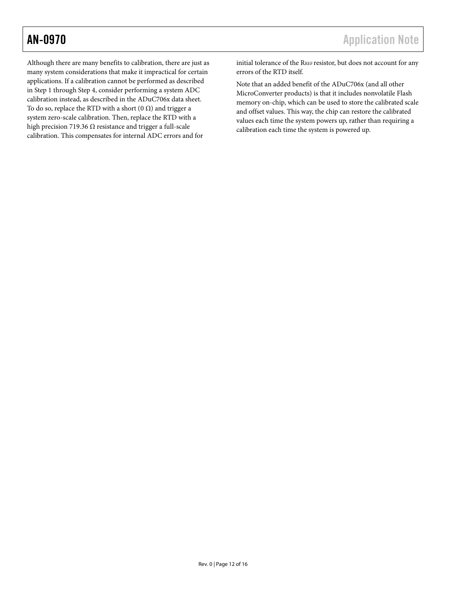Although there are many benefits to calibration, there are just as many system considerations that make it impractical for certain applications. If a calibration cannot be performed as described in Step 1 through Step 4, consider performing a system ADC calibration instead, as described in the ADuC706x data sheet. To do so, replace the RTD with a short  $(0 \Omega)$  and trigger a system zero-scale calibration. Then, replace the RTD with a high precision 719.36  $\Omega$  resistance and trigger a full-scale calibration. This compensates for internal ADC errors and for

initial tolerance of the RREF resistor, but does not account for any errors of the RTD itself.

Note that an added benefit of the ADuC706x (and all other MicroConverter products) is that it includes nonvolatile Flash memory on-chip, which can be used to store the calibrated scale and offset values. This way, the chip can restore the calibrated values each time the system powers up, rather than requiring a calibration each time the system is powered up.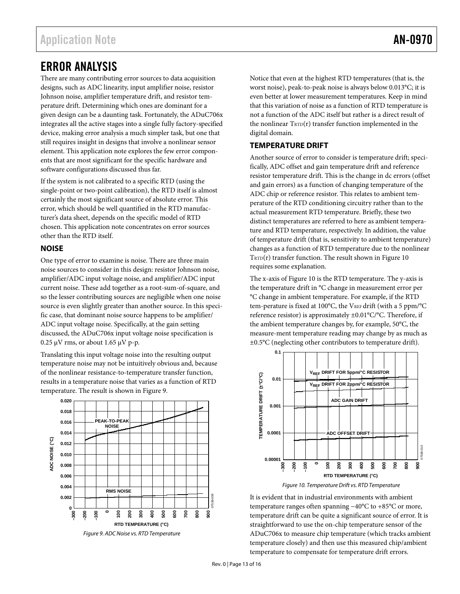## <span id="page-12-0"></span>ERROR ANALYSIS

There are many contributing error sources to data acquisition designs, such as ADC linearity, input amplifier noise, resistor Johnson noise, amplifier temperature drift, and resistor temperature drift. Determining which ones are dominant for a given design can be a daunting task. Fortunately, the ADuC706x integrates all the active stages into a single fully factory-specified device, making error analysis a much simpler task, but one that still requires insight in designs that involve a nonlinear sensor element. This application note explores the few error components that are most significant for the specific hardware and software configurations discussed thus far.

If the system is not calibrated to a specific RTD (using the single-point or two-point calibration), the RTD itself is almost certainly the most significant source of absolute error. This error, which should be well quantified in the RTD manufacturer's data sheet, depends on the specific model of RTD chosen. This application note concentrates on error sources other than the RTD itself.

## **NOISE**

One type of error to examine is noise. There are three main noise sources to consider in this design: resistor Johnson noise, amplifier/ADC input voltage noise, and amplifier/ADC input current noise. These add together as a root-sum-of-square, and so the lesser contributing sources are negligible when one noise source is even slightly greater than another source. In this specific case, that dominant noise source happens to be amplifier/ ADC input voltage noise. Specifically, at the gain setting discussed, the ADuC706x input voltage noise specification is 0.25 μV rms, or about 1.65 μV p-p.

Translating this input voltage noise into the resulting output temperature noise may not be intuitively obvious and, because of the nonlinear resistance-to-temperature transfer function, results in a temperature noise that varies as a function of RTD temperature. The result is shown in [Figure 9](#page-12-1).



<span id="page-12-2"></span><span id="page-12-1"></span>Figure 9. ADC Noise vs. RTD Temperature

Notice that even at the highest RTD temperatures (that is, the worst noise), peak-to-peak noise is always below 0.013°C; it is even better at lower measurement temperatures. Keep in mind that this variation of noise as a function of RTD temperature is not a function of the ADC itself but rather is a direct result of the nonlinear  $T_{\text{RTD}}(r)$  transfer function implemented in the digital domain.

### **TEMPERATURE DRIFT**

Another source of error to consider is temperature drift; specifically, ADC offset and gain temperature drift and reference resistor temperature drift. This is the change in dc errors (offset and gain errors) as a function of changing temperature of the ADC chip or reference resistor. This relates to ambient temperature of the RTD conditioning circuitry rather than to the actual measurement RTD temperature. Briefly, these two distinct temperatures are referred to here as ambient temperature and RTD temperature, respectively. In addition, the value of temperature drift (that is, sensitivity to ambient temperature) changes as a function of RTD temperature due to the nonlinear  $T_{\text{RTD}}(r)$  transfer function. The result shown in [Figure 10](#page-12-2) requires some explanation.

The x-axis of [Figure 10](#page-12-2) is the RTD temperature. The y-axis is the temperature drift in °C change in measurement error per °C change in ambient temperature. For example, if the RTD tem-perature is fixed at 100°C, the VREF drift (with a 5 ppm/°C reference resistor) is approximately ±0.01°C/°C. Therefore, if the ambient temperature changes by, for example, 50°C, the measure-ment temperature reading may change by as much as ±0.5°C (neglecting other contributors to temperature drift).



Figure 10. Temperature Drift vs. RTD Temperature

It is evident that in industrial environments with ambient temperature ranges often spanning −40°C to +85°C or more, temperature drift can be quite a significant source of error. It is straightforward to use the on-chip temperature sensor of the ADuC706x to measure chip temperature (which tracks ambient temperature closely) and then use this measured chip/ambient temperature to compensate for temperature drift errors.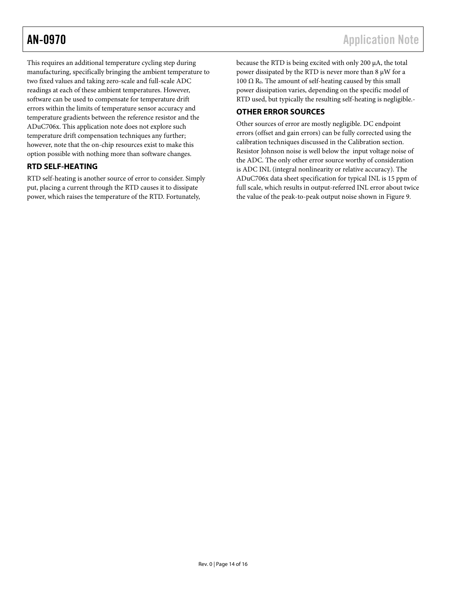<span id="page-13-0"></span>This requires an additional temperature cycling step during manufacturing, specifically bringing the ambient temperature to two fixed values and taking zero-scale and full-scale ADC readings at each of these ambient temperatures. However, software can be used to compensate for temperature drift errors within the limits of temperature sensor accuracy and temperature gradients between the reference resistor and the ADuC706x. This application note does not explore such temperature drift compensation techniques any further; however, note that the on-chip resources exist to make this option possible with nothing more than software changes.

## **RTD SELF-HEATING**

RTD self-heating is another source of error to consider. Simply put, placing a current through the RTD causes it to dissipate power, which raises the temperature of the RTD. Fortunately,

because the RTD is being excited with only 200 μA, the total power dissipated by the RTD is never more than 8 μW for a 100  $\Omega$  R<sub>0</sub>. The amount of self-heating caused by this small power dissipation varies, depending on the specific model of RTD used, but typically the resulting self-heating is negligible.-

## **OTHER ERROR SOURCES**

Other sources of error are mostly negligible. DC endpoint errors (offset and gain errors) can be fully corrected using the calibration techniques discussed in the [Calibration](#page-10-1) section. Resistor Johnson noise is well below the input voltage noise of the ADC. The only other error source worthy of consideration is ADC INL (integral nonlinearity or relative accuracy). The ADuC706x data sheet specification for typical INL is 15 ppm of full scale, which results in output-referred INL error about twice the value of the peak-to-peak output noise shown in [Figure 9](#page-12-1).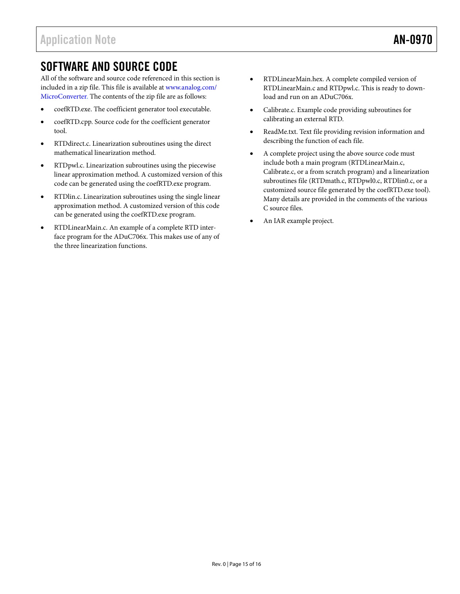# <span id="page-14-0"></span>SOFTWARE AND SOURCE CODE

All of the software and source code referenced in this section is included in a zip file. This file is available at www.[analog.](http://www.analog.com/en/analog-microcontrollers/products/index.html)com/ MicroConverter. The contents of the zip file are as follows:

- coefRTD.exe. The coefficient generator tool executable.
- coefRTD.cpp. Source code for the coefficient generator tool.
- RTDdirect.c. Linearization subroutines using the direct mathematical linearization method.
- RTDpwl.c. Linearization subroutines using the piecewise linear approximation method. A customized version of this code can be generated using the coefRTD.exe program.
- RTDlin.c. Linearization subroutines using the single linear approximation method. A customized version of this code can be generated using the coefRTD.exe program.
- RTDLinearMain.c. An example of a complete RTD interface program for the ADuC706x. This makes use of any of the three linearization functions.
- RTDLinearMain.hex. A complete compiled version of RTDLinearMain.c and RTDpwl.c. This is ready to download and run on an ADuC706x.
- Calibrate.c. Example code providing subroutines for calibrating an external RTD.
- ReadMe.txt. Text file providing revision information and describing the function of each file.
- A complete project using the above source code must include both a main program (RTDLinearMain.c, Calibrate.c, or a from scratch program) and a linearization subroutines file (RTDmath.c, RTDpwl0.c, RTDlin0.c, or a customized source file generated by the coefRTD.exe tool). Many details are provided in the comments of the various C source files.
- An IAR example project.